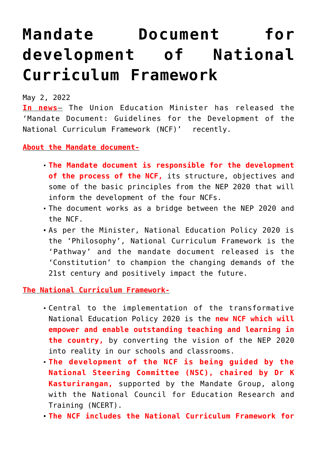## **[Mandate Document for](https://journalsofindia.com/mandate-document-for-development-of-national-curriculum-framework/) [development of National](https://journalsofindia.com/mandate-document-for-development-of-national-curriculum-framework/) [Curriculum Framework](https://journalsofindia.com/mandate-document-for-development-of-national-curriculum-framework/)**

May 2, 2022

**In news**– The Union Education Minister has released the 'Mandate Document: Guidelines for the Development of the National Curriculum Framework (NCF)' recently.

## **About the Mandate document-**

- **The Mandate document is responsible for the development of the process of the NCF,** its structure, objectives and some of the basic principles from the NEP 2020 that will inform the development of the four NCFs.
- The document works as a bridge between the NEP 2020 and the NCF.
- As per the Minister, National Education Policy 2020 is the 'Philosophy', National Curriculum Framework is the 'Pathway' and the mandate document released is the 'Constitution' to champion the changing demands of the 21st century and positively impact the future.

**The National Curriculum Framework-**

- Central to the implementation of the transformative National Education Policy 2020 is the **new NCF which will empower and enable outstanding teaching and learning in the country,** by converting the vision of the NEP 2020 into reality in our schools and classrooms.
- **The development of the NCF is being guided by the National Steering Committee (NSC), chaired by Dr K Kasturirangan,** supported by the Mandate Group, along with the National Council for Education Research and Training (NCERT).
- **The NCF includes the National Curriculum Framework for**